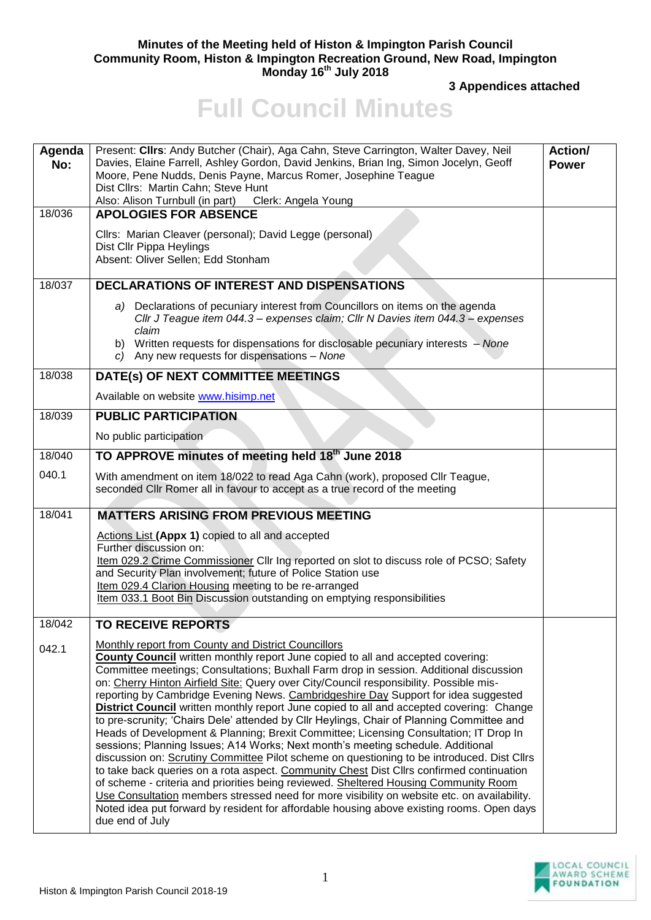## **Minutes of the Meeting held of Histon & Impington Parish Council Community Room, Histon & Impington Recreation Ground, New Road, Impington Monday 16 th July 2018**

**3 Appendices attached** 

## **Full Council Minutes**

| Agenda<br>No: | Present: Cllrs: Andy Butcher (Chair), Aga Cahn, Steve Carrington, Walter Davey, Neil<br>Davies, Elaine Farrell, Ashley Gordon, David Jenkins, Brian Ing, Simon Jocelyn, Geoff<br>Moore, Pene Nudds, Denis Payne, Marcus Romer, Josephine Teague<br>Dist Cllrs: Martin Cahn; Steve Hunt<br>Also: Alison Turnbull (in part) Clerk: Angela Young                                                                                                                                                                                                                                                                                                                                                                                                                                                                                                                                                                                                                                                                                                                                                                                                                                                                                                                                                 | Action/<br><b>Power</b> |
|---------------|-----------------------------------------------------------------------------------------------------------------------------------------------------------------------------------------------------------------------------------------------------------------------------------------------------------------------------------------------------------------------------------------------------------------------------------------------------------------------------------------------------------------------------------------------------------------------------------------------------------------------------------------------------------------------------------------------------------------------------------------------------------------------------------------------------------------------------------------------------------------------------------------------------------------------------------------------------------------------------------------------------------------------------------------------------------------------------------------------------------------------------------------------------------------------------------------------------------------------------------------------------------------------------------------------|-------------------------|
| 18/036        | <b>APOLOGIES FOR ABSENCE</b>                                                                                                                                                                                                                                                                                                                                                                                                                                                                                                                                                                                                                                                                                                                                                                                                                                                                                                                                                                                                                                                                                                                                                                                                                                                                  |                         |
|               | Cllrs: Marian Cleaver (personal); David Legge (personal)<br>Dist Cllr Pippa Heylings<br>Absent: Oliver Sellen; Edd Stonham                                                                                                                                                                                                                                                                                                                                                                                                                                                                                                                                                                                                                                                                                                                                                                                                                                                                                                                                                                                                                                                                                                                                                                    |                         |
| 18/037        | <b>DECLARATIONS OF INTEREST AND DISPENSATIONS</b>                                                                                                                                                                                                                                                                                                                                                                                                                                                                                                                                                                                                                                                                                                                                                                                                                                                                                                                                                                                                                                                                                                                                                                                                                                             |                         |
|               | a) Declarations of pecuniary interest from Councillors on items on the agenda<br>Cllr J Teague item 044.3 - expenses claim; Cllr N Davies item 044.3 - expenses<br>claim<br>b) Written requests for dispensations for disclosable pecuniary interests – None<br>c) Any new requests for dispensations - None                                                                                                                                                                                                                                                                                                                                                                                                                                                                                                                                                                                                                                                                                                                                                                                                                                                                                                                                                                                  |                         |
| 18/038        | DATE(s) OF NEXT COMMITTEE MEETINGS                                                                                                                                                                                                                                                                                                                                                                                                                                                                                                                                                                                                                                                                                                                                                                                                                                                                                                                                                                                                                                                                                                                                                                                                                                                            |                         |
|               | Available on website www.hisimp.net                                                                                                                                                                                                                                                                                                                                                                                                                                                                                                                                                                                                                                                                                                                                                                                                                                                                                                                                                                                                                                                                                                                                                                                                                                                           |                         |
| 18/039        | <b>PUBLIC PARTICIPATION</b>                                                                                                                                                                                                                                                                                                                                                                                                                                                                                                                                                                                                                                                                                                                                                                                                                                                                                                                                                                                                                                                                                                                                                                                                                                                                   |                         |
|               | No public participation                                                                                                                                                                                                                                                                                                                                                                                                                                                                                                                                                                                                                                                                                                                                                                                                                                                                                                                                                                                                                                                                                                                                                                                                                                                                       |                         |
| 18/040        | TO APPROVE minutes of meeting held 18th June 2018                                                                                                                                                                                                                                                                                                                                                                                                                                                                                                                                                                                                                                                                                                                                                                                                                                                                                                                                                                                                                                                                                                                                                                                                                                             |                         |
| 040.1         | With amendment on item 18/022 to read Aga Cahn (work), proposed Cllr Teague,<br>seconded CIIr Romer all in favour to accept as a true record of the meeting                                                                                                                                                                                                                                                                                                                                                                                                                                                                                                                                                                                                                                                                                                                                                                                                                                                                                                                                                                                                                                                                                                                                   |                         |
| 18/041        | <b>MATTERS ARISING FROM PREVIOUS MEETING</b>                                                                                                                                                                                                                                                                                                                                                                                                                                                                                                                                                                                                                                                                                                                                                                                                                                                                                                                                                                                                                                                                                                                                                                                                                                                  |                         |
|               | Actions List (Appx 1) copied to all and accepted<br>Further discussion on:<br>Item 029.2 Crime Commissioner Cllr Ing reported on slot to discuss role of PCSO; Safety<br>and Security Plan involvement; future of Police Station use<br>Item 029.4 Clarion Housing meeting to be re-arranged<br>Item 033.1 Boot Bin Discussion outstanding on emptying responsibilities                                                                                                                                                                                                                                                                                                                                                                                                                                                                                                                                                                                                                                                                                                                                                                                                                                                                                                                       |                         |
| 18/042        | <b>TO RECEIVE REPORTS</b>                                                                                                                                                                                                                                                                                                                                                                                                                                                                                                                                                                                                                                                                                                                                                                                                                                                                                                                                                                                                                                                                                                                                                                                                                                                                     |                         |
| 042.1         | Monthly report from County and District Councillors<br>County Council written monthly report June copied to all and accepted covering:<br>Committee meetings; Consultations; Buxhall Farm drop in session. Additional discussion<br>on: Cherry Hinton Airfield Site: Query over City/Council responsibility. Possible mis-<br>reporting by Cambridge Evening News. Cambridgeshire Day Support for idea suggested<br><b>District Council</b> written monthly report June copied to all and accepted covering: Change<br>to pre-scrunity; 'Chairs Dele' attended by Cllr Heylings, Chair of Planning Committee and<br>Heads of Development & Planning; Brexit Committee; Licensing Consultation; IT Drop In<br>sessions; Planning Issues; A14 Works; Next month's meeting schedule. Additional<br>discussion on: Scrutiny Committee Pilot scheme on questioning to be introduced. Dist Cllrs<br>to take back queries on a rota aspect. Community Chest Dist Cllrs confirmed continuation<br>of scheme - criteria and priorities being reviewed. Sheltered Housing Community Room<br>Use Consultation members stressed need for more visibility on website etc. on availability.<br>Noted idea put forward by resident for affordable housing above existing rooms. Open days<br>due end of July |                         |
|               |                                                                                                                                                                                                                                                                                                                                                                                                                                                                                                                                                                                                                                                                                                                                                                                                                                                                                                                                                                                                                                                                                                                                                                                                                                                                                               |                         |

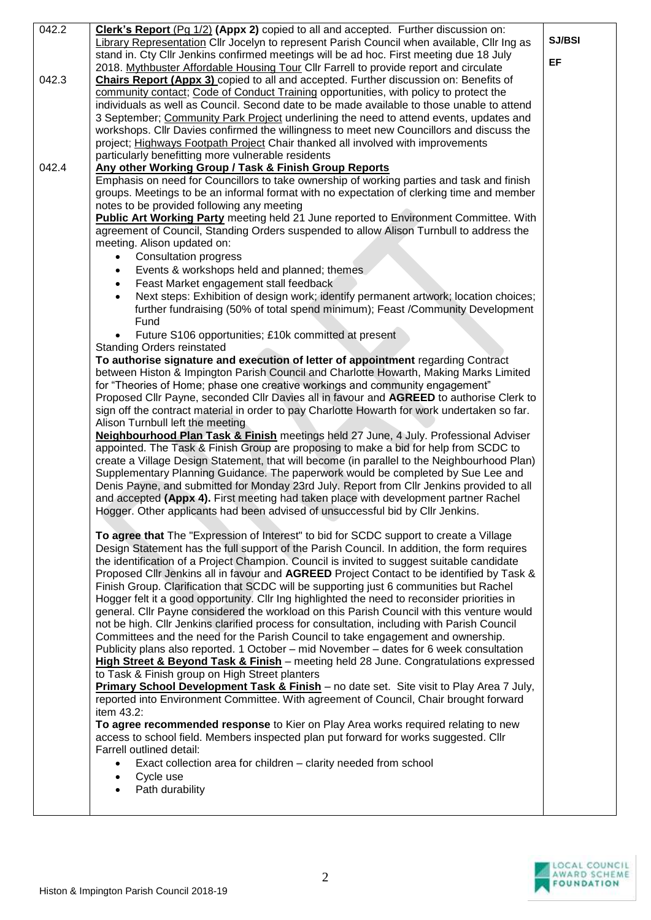| 042.2 | Clerk's Report (Pg 1/2) (Appx 2) copied to all and accepted. Further discussion on:                              |        |
|-------|------------------------------------------------------------------------------------------------------------------|--------|
|       | Library Representation Cllr Jocelyn to represent Parish Council when available, Cllr Ing as                      | SJ/BSI |
|       | stand in. Cty Cllr Jenkins confirmed meetings will be ad hoc. First meeting due 18 July                          |        |
|       | 2018. Mythbuster Affordable Housing Tour Cllr Farrell to provide report and circulate                            | EF     |
| 042.3 | <b>Chairs Report (Appx 3)</b> copied to all and accepted. Further discussion on: Benefits of                     |        |
|       | community contact; Code of Conduct Training opportunities, with policy to protect the                            |        |
|       | individuals as well as Council. Second date to be made available to those unable to attend                       |        |
|       | 3 September; Community Park Project underlining the need to attend events, updates and                           |        |
|       | workshops. Cllr Davies confirmed the willingness to meet new Councillors and discuss the                         |        |
|       | project; Highways Footpath Project Chair thanked all involved with improvements                                  |        |
|       | particularly benefitting more vulnerable residents                                                               |        |
| 042.4 | Any other Working Group / Task & Finish Group Reports                                                            |        |
|       | Emphasis on need for Councillors to take ownership of working parties and task and finish                        |        |
|       | groups. Meetings to be an informal format with no expectation of clerking time and member                        |        |
|       | notes to be provided following any meeting                                                                       |        |
|       | Public Art Working Party meeting held 21 June reported to Environment Committee. With                            |        |
|       | agreement of Council, Standing Orders suspended to allow Alison Turnbull to address the                          |        |
|       | meeting. Alison updated on:                                                                                      |        |
|       | <b>Consultation progress</b><br>$\bullet$                                                                        |        |
|       | Events & workshops held and planned; themes<br>$\bullet$                                                         |        |
|       | Feast Market engagement stall feedback<br>$\bullet$                                                              |        |
|       | Next steps: Exhibition of design work; identify permanent artwork; location choices;                             |        |
|       |                                                                                                                  |        |
|       | further fundraising (50% of total spend minimum); Feast /Community Development                                   |        |
|       | Fund                                                                                                             |        |
|       | Future S106 opportunities; £10k committed at present<br>$\bullet$                                                |        |
|       | <b>Standing Orders reinstated</b>                                                                                |        |
|       | To authorise signature and execution of letter of appointment regarding Contract                                 |        |
|       | between Histon & Impington Parish Council and Charlotte Howarth, Making Marks Limited                            |        |
|       | for "Theories of Home; phase one creative workings and community engagement"                                     |        |
|       | Proposed Cllr Payne, seconded Cllr Davies all in favour and AGREED to authorise Clerk to                         |        |
|       | sign off the contract material in order to pay Charlotte Howarth for work undertaken so far.                     |        |
|       | Alison Turnbull left the meeting                                                                                 |        |
|       | Neighbourhood Plan Task & Finish meetings held 27 June, 4 July. Professional Adviser                             |        |
|       | appointed. The Task & Finish Group are proposing to make a bid for help from SCDC to                             |        |
|       | create a Village Design Statement, that will become (in parallel to the Neighbourhood Plan)                      |        |
|       | Supplementary Planning Guidance. The paperwork would be completed by Sue Lee and                                 |        |
|       | Denis Payne, and submitted for Monday 23rd July. Report from Cllr Jenkins provided to all                        |        |
|       | and accepted (Appx 4). First meeting had taken place with development partner Rachel                             |        |
|       | Hogger. Other applicants had been advised of unsuccessful bid by Cllr Jenkins.                                   |        |
|       |                                                                                                                  |        |
|       | To agree that The "Expression of Interest" to bid for SCDC support to create a Village                           |        |
|       | Design Statement has the full support of the Parish Council. In addition, the form requires                      |        |
|       | the identification of a Project Champion. Council is invited to suggest suitable candidate                       |        |
|       | Proposed Cllr Jenkins all in favour and AGREED Project Contact to be identified by Task &                        |        |
|       | Finish Group. Clarification that SCDC will be supporting just 6 communities but Rachel                           |        |
|       | Hogger felt it a good opportunity. Cllr Ing highlighted the need to reconsider priorities in                     |        |
|       | general. Cllr Payne considered the workload on this Parish Council with this venture would                       |        |
|       | not be high. Cllr Jenkins clarified process for consultation, including with Parish Council                      |        |
|       | Committees and the need for the Parish Council to take engagement and ownership.                                 |        |
|       | Publicity plans also reported. 1 October – mid November – dates for 6 week consultation                          |        |
|       | High Street & Beyond Task & Finish - meeting held 28 June. Congratulations expressed                             |        |
|       | to Task & Finish group on High Street planters                                                                   |        |
|       | Primary School Development Task & Finish - no date set. Site visit to Play Area 7 July,                          |        |
|       | reported into Environment Committee. With agreement of Council, Chair brought forward                            |        |
|       | item 43.2:                                                                                                       |        |
|       | To agree recommended response to Kier on Play Area works required relating to new                                |        |
|       | access to school field. Members inspected plan put forward for works suggested. Cllr<br>Farrell outlined detail: |        |
|       |                                                                                                                  |        |
|       | Exact collection area for children - clarity needed from school<br>$\bullet$                                     |        |
|       | Cycle use<br>$\bullet$                                                                                           |        |
|       | Path durability                                                                                                  |        |
|       |                                                                                                                  |        |

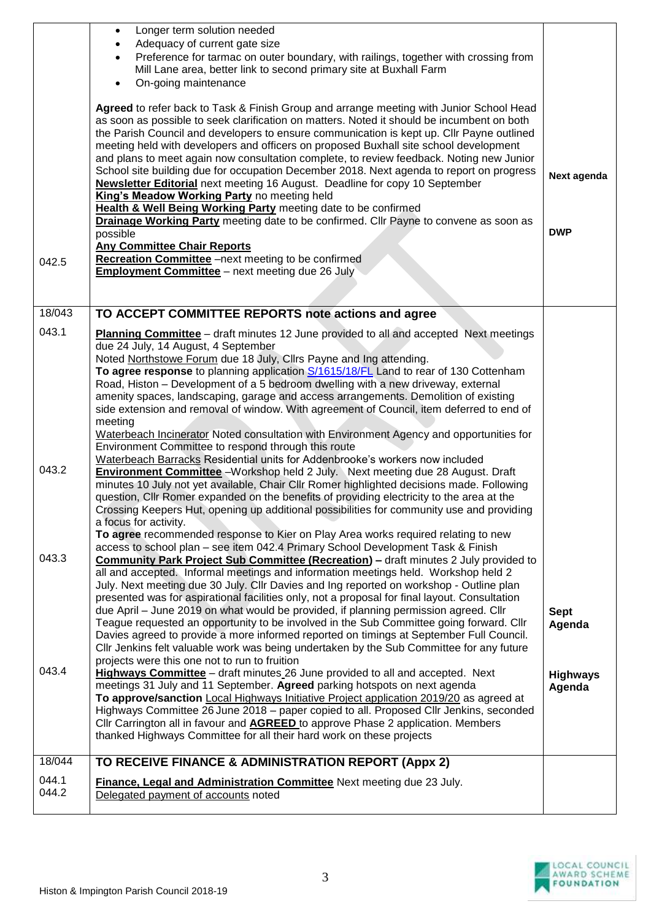|                | Longer term solution needed<br>$\bullet$<br>Adequacy of current gate size<br>$\bullet$<br>Preference for tarmac on outer boundary, with railings, together with crossing from<br>$\bullet$<br>Mill Lane area, better link to second primary site at Buxhall Farm<br>On-going maintenance<br>$\bullet$                                                                                                                                                                                                                                                                                                                                                                                                                                                                                                                                                                                       |                           |
|----------------|---------------------------------------------------------------------------------------------------------------------------------------------------------------------------------------------------------------------------------------------------------------------------------------------------------------------------------------------------------------------------------------------------------------------------------------------------------------------------------------------------------------------------------------------------------------------------------------------------------------------------------------------------------------------------------------------------------------------------------------------------------------------------------------------------------------------------------------------------------------------------------------------|---------------------------|
|                | Agreed to refer back to Task & Finish Group and arrange meeting with Junior School Head<br>as soon as possible to seek clarification on matters. Noted it should be incumbent on both<br>the Parish Council and developers to ensure communication is kept up. Cllr Payne outlined<br>meeting held with developers and officers on proposed Buxhall site school development<br>and plans to meet again now consultation complete, to review feedback. Noting new Junior<br>School site building due for occupation December 2018. Next agenda to report on progress<br><b>Newsletter Editorial</b> next meeting 16 August. Deadline for copy 10 September<br>King's Meadow Working Party no meeting held<br>Health & Well Being Working Party meeting date to be confirmed<br>Drainage Working Party meeting date to be confirmed. Cllr Payne to convene as soon as<br>possible             | Next agenda<br><b>DWP</b> |
| 042.5          | <b>Any Committee Chair Reports</b><br>Recreation Committee -next meeting to be confirmed<br><b>Employment Committee</b> - next meeting due 26 July                                                                                                                                                                                                                                                                                                                                                                                                                                                                                                                                                                                                                                                                                                                                          |                           |
|                |                                                                                                                                                                                                                                                                                                                                                                                                                                                                                                                                                                                                                                                                                                                                                                                                                                                                                             |                           |
| 18/043         | TO ACCEPT COMMITTEE REPORTS note actions and agree                                                                                                                                                                                                                                                                                                                                                                                                                                                                                                                                                                                                                                                                                                                                                                                                                                          |                           |
| 043.1          | <b>Planning Committee</b> – draft minutes 12 June provided to all and accepted Next meetings<br>due 24 July, 14 August, 4 September<br>Noted Northstowe Forum due 18 July, Clirs Payne and Ing attending.<br>To agree response to planning application S/1615/18/FL Land to rear of 130 Cottenham<br>Road, Histon - Development of a 5 bedroom dwelling with a new driveway, external<br>amenity spaces, landscaping, garage and access arrangements. Demolition of existing<br>side extension and removal of window. With agreement of Council, item deferred to end of<br>meeting                                                                                                                                                                                                                                                                                                         |                           |
|                | Waterbeach Incinerator Noted consultation with Environment Agency and opportunities for<br>Environment Committee to respond through this route<br>Waterbeach Barracks Residential units for Addenbrooke's workers now included                                                                                                                                                                                                                                                                                                                                                                                                                                                                                                                                                                                                                                                              |                           |
| 043.2          | <b>Environment Committee</b> - Workshop held 2 July. Next meeting due 28 August. Draft<br>minutes 10 July not yet available, Chair Cllr Romer highlighted decisions made. Following<br>question, Cllr Romer expanded on the benefits of providing electricity to the area at the<br>Crossing Keepers Hut, opening up additional possibilities for community use and providing<br>a focus for activity.<br>To agree recommended response to Kier on Play Area works required relating to new                                                                                                                                                                                                                                                                                                                                                                                                 |                           |
| 043.3          | access to school plan - see item 042.4 Primary School Development Task & Finish<br><b>Community Park Project Sub Committee (Recreation) - draft minutes 2 July provided to</b><br>all and accepted. Informal meetings and information meetings held. Workshop held 2<br>July. Next meeting due 30 July. Cllr Davies and Ing reported on workshop - Outline plan<br>presented was for aspirational facilities only, not a proposal for final layout. Consultation<br>due April - June 2019 on what would be provided, if planning permission agreed. Cllr<br>Teague requested an opportunity to be involved in the Sub Committee going forward. Cllr<br>Davies agreed to provide a more informed reported on timings at September Full Council.<br>CIIr Jenkins felt valuable work was being undertaken by the Sub Committee for any future<br>projects were this one not to run to fruition | <b>Sept</b><br>Agenda     |
| 043.4          | Highways Committee - draft minutes 26 June provided to all and accepted. Next<br>meetings 31 July and 11 September. Agreed parking hotspots on next agenda<br>To approve/sanction Local Highways Initiative Project application 2019/20 as agreed at<br>Highways Committee 26 June 2018 – paper copied to all. Proposed Cllr Jenkins, seconded<br>Cllr Carrington all in favour and <b>AGREED</b> to approve Phase 2 application. Members<br>thanked Highways Committee for all their hard work on these projects                                                                                                                                                                                                                                                                                                                                                                           | <b>Highways</b><br>Agenda |
| 18/044         | TO RECEIVE FINANCE & ADMINISTRATION REPORT (Appx 2)                                                                                                                                                                                                                                                                                                                                                                                                                                                                                                                                                                                                                                                                                                                                                                                                                                         |                           |
| 044.1<br>044.2 | Finance, Legal and Administration Committee Next meeting due 23 July.<br>Delegated payment of accounts noted                                                                                                                                                                                                                                                                                                                                                                                                                                                                                                                                                                                                                                                                                                                                                                                |                           |